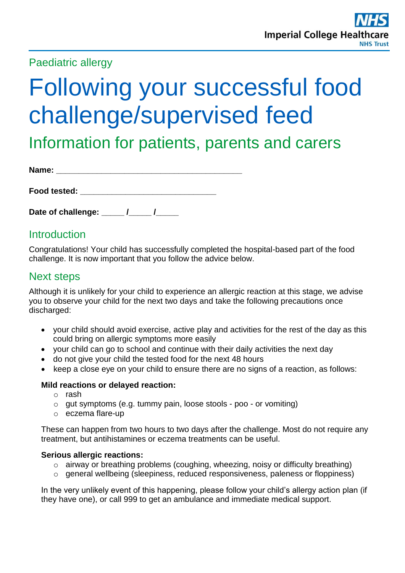# Paediatric allergy

# Following your successful food challenge/supervised feed

Information for patients, parents and carers

| Name: |  |  |  |  |
|-------|--|--|--|--|
|       |  |  |  |  |
|       |  |  |  |  |

| Food tested: |  |  |  |
|--------------|--|--|--|
|              |  |  |  |

### **Introduction**

Congratulations! Your child has successfully completed the hospital-based part of the food challenge. It is now important that you follow the advice below.

## Next steps

Although it is unlikely for your child to experience an allergic reaction at this stage, we advise you to observe your child for the next two days and take the following precautions once discharged:

- your child should avoid exercise, active play and activities for the rest of the day as this could bring on allergic symptoms more easily
- your child can go to school and continue with their daily activities the next day
- do not give your child the tested food for the next 48 hours
- keep a close eye on your child to ensure there are no signs of a reaction, as follows:

#### **Mild reactions or delayed reaction:**

- o rash
- o gut symptoms (e.g. tummy pain, loose stools poo or vomiting)
- o eczema flare-up

These can happen from two hours to two days after the challenge. Most do not require any treatment, but antihistamines or eczema treatments can be useful.

#### **Serious allergic reactions:**

- o airway or breathing problems (coughing, wheezing, noisy or difficulty breathing)
- o general wellbeing (sleepiness, reduced responsiveness, paleness or floppiness)

In the very unlikely event of this happening, please follow your child's allergy action plan (if they have one), or call 999 to get an ambulance and immediate medical support.